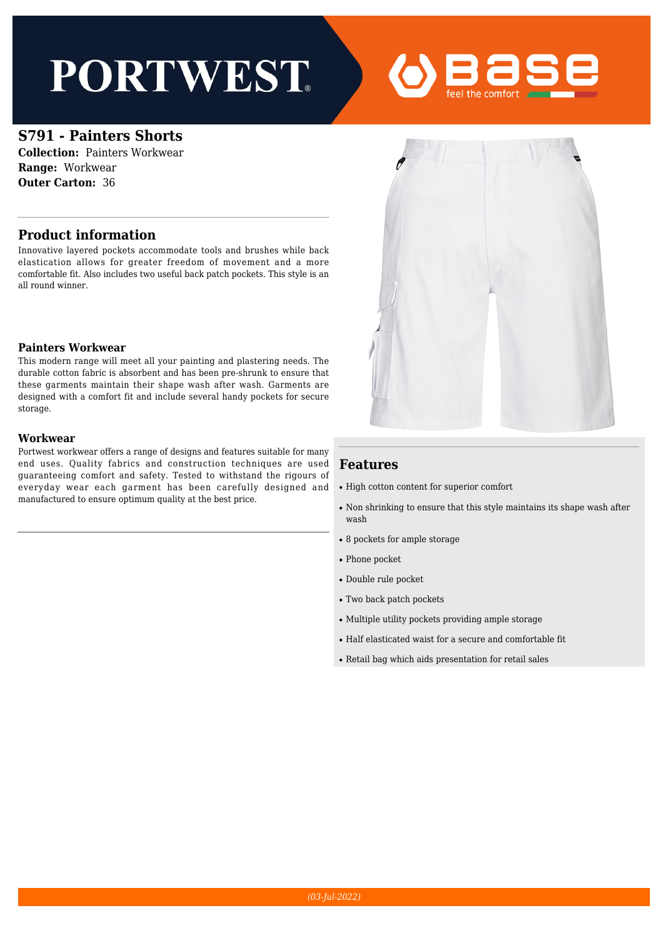# **PORTWEST**



### **S791 - Painters Shorts**

**Collection:** Painters Workwear **Range:** Workwear **Outer Carton:** 36

#### **Product information**

Innovative layered pockets accommodate tools and brushes while back elastication allows for greater freedom of movement and a more comfortable fit. Also includes two useful back patch pockets. This style is an all round winner.

#### **Painters Workwear**

This modern range will meet all your painting and plastering needs. The durable cotton fabric is absorbent and has been pre-shrunk to ensure that these garments maintain their shape wash after wash. Garments are designed with a comfort fit and include several handy pockets for secure storage.

#### **Workwear**

Portwest workwear offers a range of designs and features suitable for many end uses. Quality fabrics and construction techniques are used guaranteeing comfort and safety. Tested to withstand the rigours of everyday wear each garment has been carefully designed and manufactured to ensure optimum quality at the best price.



#### **Features**

- High cotton content for superior comfort
- Non shrinking to ensure that this style maintains its shape wash after wash
- 8 pockets for ample storage
- Phone pocket
- Double rule pocket
- Two back patch pockets
- Multiple utility pockets providing ample storage
- Half elasticated waist for a secure and comfortable fit
- Retail bag which aids presentation for retail sales